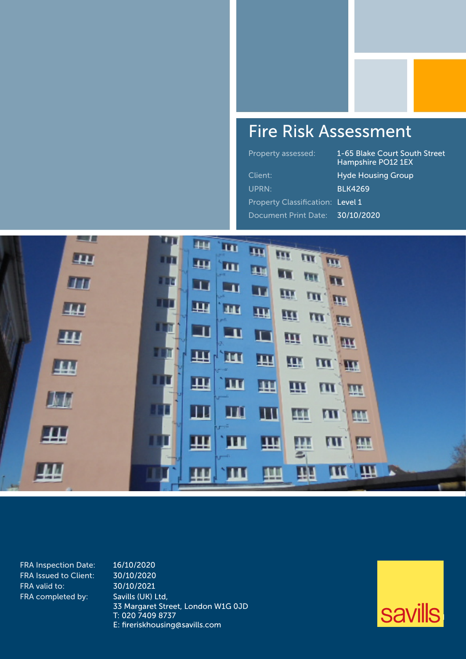## Fire Risk Assessment

Property assessed: 1-65 Blake Court South Street Hampshire PO12 1EX Client: **Hyde Housing Group** UPRN: BLK4269

Property Classification: Level 1

Document Print Date: 30/10/2020



FRA Inspection Date: 16/10/2020 FRA Issued to Client: 30/10/2020 FRA valid to: 30/10/2021 FRA completed by: Savills (UK) Ltd,

33 Margaret Street, London W1G 0JD T: 020 7409 8737 E: fireriskhousing@savills.com

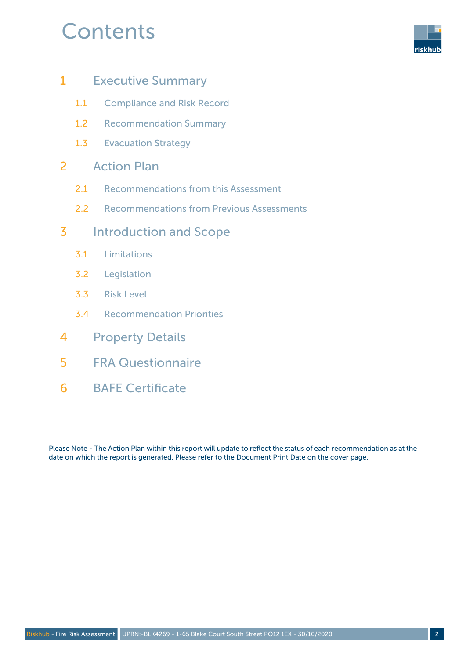## **Contents**



- 1 Executive Summary
	- 1.1 Compliance and Risk Record
	- 1.2 Recommendation Summary
	- 1.3 Evacuation Strategy

### 2 Action Plan

- 2.1 Recommendations from this Assessment
- 2.2 Recommendations from Previous Assessments

### 3 Introduction and Scope

- 3.1 Limitations
- 3.2 Legislation
- 3.3 Risk Level
- 3.4 Recommendation Priorities
- 4 Property Details
- 5 FRA Questionnaire
- 6 BAFE Certificate

Please Note - The Action Plan within this report will update to reflect the status of each recommendation as at the date on which the report is generated. Please refer to the Document Print Date on the cover page.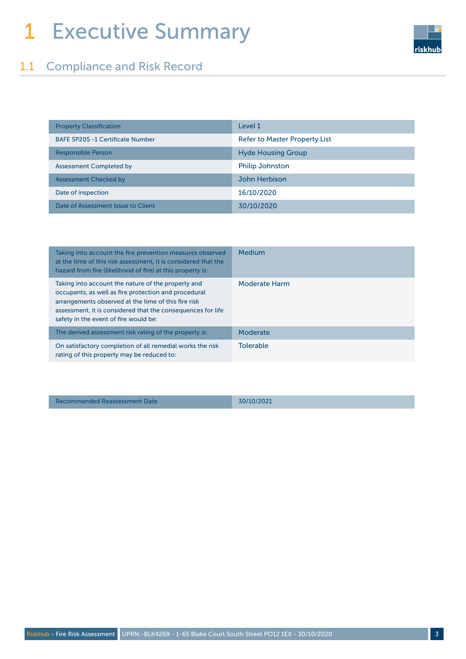## 1 Executive Summary



| <b>Property Classification</b>          | Level 1                              |
|-----------------------------------------|--------------------------------------|
| <b>BAFE SP205 -1 Certificate Number</b> | <b>Refer to Master Property List</b> |
| <b>Responsible Person</b>               | <b>Hyde Housing Group</b>            |
| <b>Assessment Completed by</b>          | <b>Philip Johnston</b>               |
| <b>Assessment Checked by</b>            | John Herbison                        |
| Date of inspection                      | 16/10/2020                           |
| Date of Assessment Issue to Client      | 30/10/2020                           |

| Taking into account the fire prevention measures observed<br>at the time of this risk assessment, it is considered that the<br>hazard from fire (likelihood of fire) at this property is:                                                                                 | Medium               |
|---------------------------------------------------------------------------------------------------------------------------------------------------------------------------------------------------------------------------------------------------------------------------|----------------------|
| Taking into account the nature of the property and<br>occupants, as well as fire protection and procedural<br>arrangements observed at the time of this fire risk<br>assessment, it is considered that the consequences for life<br>safety in the event of fire would be: | <b>Moderate Harm</b> |
| The derived assessment risk rating of the property is:                                                                                                                                                                                                                    | Moderate             |
| On satisfactory completion of all remedial works the risk<br>rating of this property may be reduced to:                                                                                                                                                                   | <b>Tolerable</b>     |

Recommended Reassessment Date 30/10/2021

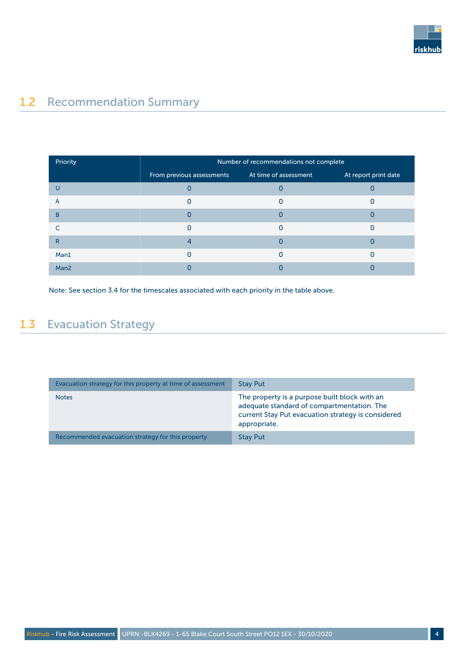

## 1.2 Recommendation Summary

| Priority         | Number of recommendations not complete |                       |                      |
|------------------|----------------------------------------|-----------------------|----------------------|
|                  | From previous assessments              | At time of assessment | At report print date |
|                  |                                        |                       |                      |
| A                |                                        |                       |                      |
| B                |                                        |                       |                      |
|                  |                                        |                       |                      |
| $\mathsf{R}$     |                                        |                       |                      |
| Man1             |                                        |                       |                      |
| Man <sub>2</sub> |                                        |                       |                      |

Note: See section 3.4 for the timescales associated with each priority in the table above.

## 1.3 Evacuation Strategy

| Evacuation strategy for this property at time of assessment | <b>Stay Put</b>                                                                                                                                                   |
|-------------------------------------------------------------|-------------------------------------------------------------------------------------------------------------------------------------------------------------------|
| <b>Notes</b>                                                | The property is a purpose built block with an<br>adequate standard of compartmentation. The<br>current Stay Put evacuation strategy is considered<br>appropriate. |
| Recommended evacuation strategy for this property           | <b>Stay Put</b>                                                                                                                                                   |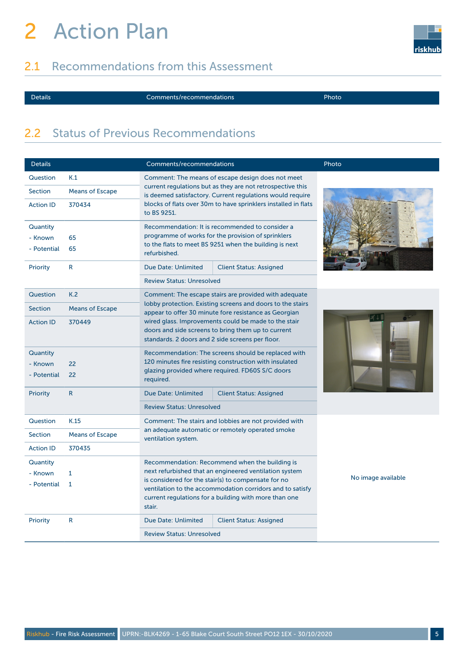# 2 Action Plan

## 2.1 Recommendations from this Assessment



Details Comments/recommendations Photo

### 2.2 Status of Previous Recommendations

| <b>Details</b>                     |                                | Comments/recommendations                                                                                                                                                        |                                                                                                                                                                                                                                                                                       | Photo              |
|------------------------------------|--------------------------------|---------------------------------------------------------------------------------------------------------------------------------------------------------------------------------|---------------------------------------------------------------------------------------------------------------------------------------------------------------------------------------------------------------------------------------------------------------------------------------|--------------------|
| Question                           | K.1                            | Comment: The means of escape design does not meet                                                                                                                               |                                                                                                                                                                                                                                                                                       |                    |
| <b>Section</b>                     | <b>Means of Escape</b>         | current regulations but as they are not retrospective this<br>is deemed satisfactory. Current regulations would require                                                         |                                                                                                                                                                                                                                                                                       |                    |
| <b>Action ID</b>                   | 370434                         | blocks of flats over 30m to have sprinklers installed in flats<br>to BS 9251.                                                                                                   |                                                                                                                                                                                                                                                                                       |                    |
| Quantity<br>- Known<br>- Potential | 65<br>65                       | Recommendation: It is recommended to consider a<br>programme of works for the provision of sprinklers<br>to the flats to meet BS 9251 when the building is next<br>refurbished. |                                                                                                                                                                                                                                                                                       |                    |
| <b>Priority</b>                    | R                              | Due Date: Unlimited                                                                                                                                                             | <b>Client Status: Assigned</b>                                                                                                                                                                                                                                                        |                    |
|                                    |                                | <b>Review Status: Unresolved</b>                                                                                                                                                |                                                                                                                                                                                                                                                                                       |                    |
| Question                           | K.2                            |                                                                                                                                                                                 | Comment: The escape stairs are provided with adequate                                                                                                                                                                                                                                 |                    |
| <b>Section</b>                     | <b>Means of Escape</b>         |                                                                                                                                                                                 | lobby protection. Existing screens and doors to the stairs<br>appear to offer 30 minute fore resistance as Georgian                                                                                                                                                                   |                    |
| <b>Action ID</b>                   | 370449                         |                                                                                                                                                                                 | wired glass. Improvements could be made to the stair<br>doors and side screens to bring them up to current<br>standards. 2 doors and 2 side screens per floor.                                                                                                                        |                    |
| Quantity<br>- Known<br>- Potential | 22<br>22                       | Recommendation: The screens should be replaced with<br>120 minutes fire resisting construction with insulated<br>glazing provided where required. FD60S S/C doors<br>required.  |                                                                                                                                                                                                                                                                                       |                    |
| Priority                           | $\mathsf{R}$                   | <b>Due Date: Unlimited</b>                                                                                                                                                      | <b>Client Status: Assigned</b>                                                                                                                                                                                                                                                        |                    |
|                                    |                                | <b>Review Status: Unresolved</b>                                                                                                                                                |                                                                                                                                                                                                                                                                                       |                    |
| Question                           | K.15                           | Comment: The stairs and lobbies are not provided with                                                                                                                           |                                                                                                                                                                                                                                                                                       |                    |
| Section                            | <b>Means of Escape</b>         | ventilation system.                                                                                                                                                             | an adequate automatic or remotely operated smoke                                                                                                                                                                                                                                      |                    |
| <b>Action ID</b>                   | 370435                         |                                                                                                                                                                                 |                                                                                                                                                                                                                                                                                       |                    |
| Quantity<br>- Known<br>- Potential | $\mathbf{1}$<br>$\overline{1}$ | stair.                                                                                                                                                                          | Recommendation: Recommend when the building is<br>next refurbished that an engineered ventilation system<br>is considered for the stair(s) to compensate for no<br>ventilation to the accommodation corridors and to satisfy<br>current regulations for a building with more than one | No image available |
| <b>Priority</b>                    | $\mathsf{R}$                   | Due Date: Unlimited                                                                                                                                                             | <b>Client Status: Assigned</b>                                                                                                                                                                                                                                                        |                    |
|                                    |                                | <b>Review Status: Unresolved</b>                                                                                                                                                |                                                                                                                                                                                                                                                                                       |                    |

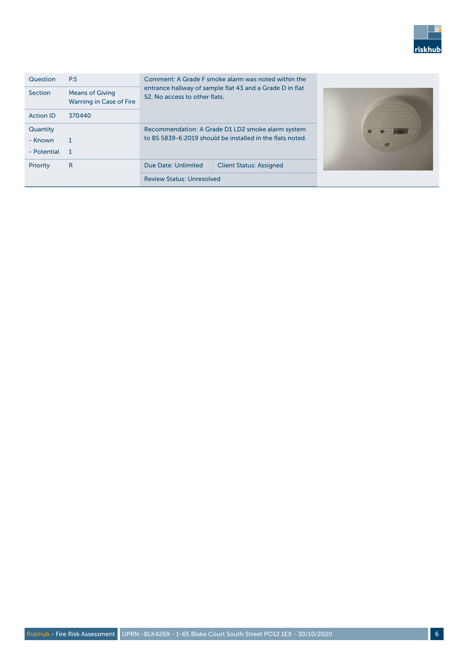

| Question<br><b>Section</b> | <b>P.5</b><br><b>Means of Giving</b><br>Warning in Case of Fire | Comment: A Grade F smoke alarm was noted within the<br>entrance hallway of sample flat 43 and a Grade D in flat<br>52. No access to other flats. |  |  |
|----------------------------|-----------------------------------------------------------------|--------------------------------------------------------------------------------------------------------------------------------------------------|--|--|
| <b>Action ID</b>           | 370440                                                          |                                                                                                                                                  |  |  |
| Quantity                   |                                                                 | Recommendation: A Grade D1 LD2 smoke alarm system                                                                                                |  |  |
| - Known                    |                                                                 | to BS 5839-6:2019 should be installed in the flats noted.                                                                                        |  |  |
| - Potential                | 1                                                               |                                                                                                                                                  |  |  |
| Priority                   | $\mathsf{R}$                                                    | Due Date: Unlimited<br><b>Client Status: Assigned</b>                                                                                            |  |  |
|                            |                                                                 | <b>Review Status: Unresolved</b>                                                                                                                 |  |  |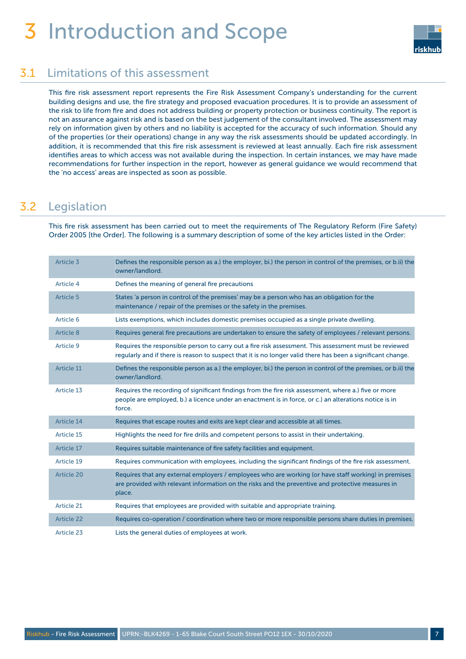## 3 Introduction and Scope



### 3.1 Limitations of this assessment

This fire risk assessment report represents the Fire Risk Assessment Company's understanding for the current building designs and use, the fire strategy and proposed evacuation procedures. It is to provide an assessment of the risk to life from fire and does not address building or property protection or business continuity. The report is not an assurance against risk and is based on the best judgement of the consultant involved. The assessment may rely on information given by others and no liability is accepted for the accuracy of such information. Should any of the properties (or their operations) change in any way the risk assessments should be updated accordingly. In addition, it is recommended that this fire risk assessment is reviewed at least annually. Each fire risk assessment identifies areas to which access was not available during the inspection. In certain instances, we may have made recommendations for further inspection in the report, however as general guidance we would recommend that the 'no access' areas are inspected as soon as possible.

## 3.2 Legislation

This fire risk assessment has been carried out to meet the requirements of The Regulatory Reform (Fire Safety) Order 2005 [the Order]. The following is a summary description of some of the key articles listed in the Order:

| Article 3         | Defines the responsible person as a.) the employer, bi.) the person in control of the premises, or b.ii) the<br>owner/landlord.                                                                                         |
|-------------------|-------------------------------------------------------------------------------------------------------------------------------------------------------------------------------------------------------------------------|
| Article 4         | Defines the meaning of general fire precautions                                                                                                                                                                         |
| Article 5         | States 'a person in control of the premises' may be a person who has an obligation for the<br>maintenance / repair of the premises or the safety in the premises.                                                       |
| Article 6         | Lists exemptions, which includes domestic premises occupied as a single private dwelling.                                                                                                                               |
| Article 8         | Requires general fire precautions are undertaken to ensure the safety of employees / relevant persons.                                                                                                                  |
| Article 9         | Requires the responsible person to carry out a fire risk assessment. This assessment must be reviewed<br>regularly and if there is reason to suspect that it is no longer valid there has been a significant change.    |
| Article 11        | Defines the responsible person as a.) the employer, bi.) the person in control of the premises, or b.ii) the<br>owner/landlord.                                                                                         |
| Article 13        | Requires the recording of significant findings from the fire risk assessment, where a.) five or more<br>people are employed, b.) a licence under an enactment is in force, or c.) an alterations notice is in<br>force. |
| Article 14        | Requires that escape routes and exits are kept clear and accessible at all times.                                                                                                                                       |
| Article 15        | Highlights the need for fire drills and competent persons to assist in their undertaking.                                                                                                                               |
| Article 17        | Requires suitable maintenance of fire safety facilities and equipment.                                                                                                                                                  |
| Article 19        | Requires communication with employees, including the significant findings of the fire risk assessment.                                                                                                                  |
| <b>Article 20</b> | Requires that any external employers / employees who are working (or have staff working) in premises<br>are provided with relevant information on the risks and the preventive and protective measures in<br>place.     |
| Article 21        | Requires that employees are provided with suitable and appropriate training.                                                                                                                                            |
| <b>Article 22</b> | Requires co-operation / coordination where two or more responsible persons share duties in premises.                                                                                                                    |
| Article 23        | Lists the general duties of employees at work.                                                                                                                                                                          |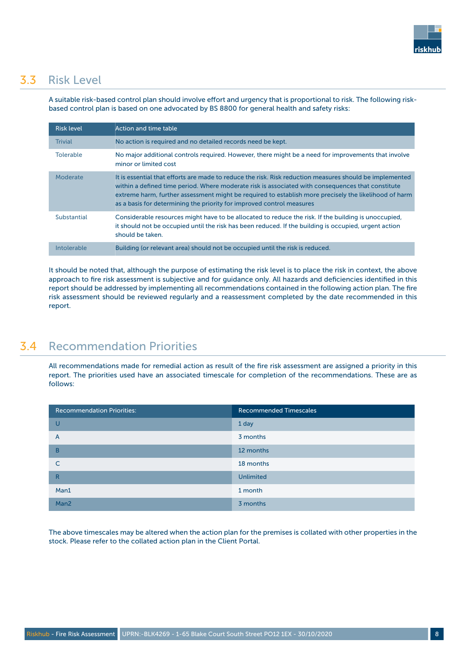

### 3.3 Risk Level

A suitable risk-based control plan should involve effort and urgency that is proportional to risk. The following riskbased control plan is based on one advocated by BS 8800 for general health and safety risks:

| <b>Risk level</b> | Action and time table                                                                                                                                                                                                                                                                                                                                                                          |
|-------------------|------------------------------------------------------------------------------------------------------------------------------------------------------------------------------------------------------------------------------------------------------------------------------------------------------------------------------------------------------------------------------------------------|
| <b>Trivial</b>    | No action is required and no detailed records need be kept.                                                                                                                                                                                                                                                                                                                                    |
| <b>Tolerable</b>  | No major additional controls required. However, there might be a need for improvements that involve<br>minor or limited cost                                                                                                                                                                                                                                                                   |
| Moderate          | It is essential that efforts are made to reduce the risk. Risk reduction measures should be implemented<br>within a defined time period. Where moderate risk is associated with consequences that constitute<br>extreme harm, further assessment might be required to establish more precisely the likelihood of harm<br>as a basis for determining the priority for improved control measures |
| Substantial       | Considerable resources might have to be allocated to reduce the risk. If the building is unoccupied,<br>it should not be occupied until the risk has been reduced. If the building is occupied, urgent action<br>should be taken.                                                                                                                                                              |
| Intolerable       | Building (or relevant area) should not be occupied until the risk is reduced.                                                                                                                                                                                                                                                                                                                  |

It should be noted that, although the purpose of estimating the risk level is to place the risk in context, the above approach to fire risk assessment is subjective and for guidance only. All hazards and deficiencies identified in this report should be addressed by implementing all recommendations contained in the following action plan. The fire risk assessment should be reviewed regularly and a reassessment completed by the date recommended in this report.

## 3.4 Recommendation Priorities

All recommendations made for remedial action as result of the fire risk assessment are assigned a priority in this report. The priorities used have an associated timescale for completion of the recommendations. These are as follows:

| <b>Recommendation Priorities:</b> | <b>Recommended Timescales</b> |
|-----------------------------------|-------------------------------|
| U                                 | 1 day                         |
| A                                 | 3 months                      |
| B                                 | 12 months                     |
| $\subset$                         | 18 months                     |
| R                                 | <b>Unlimited</b>              |
| Man1                              | 1 month                       |
| Man <sub>2</sub>                  | 3 months                      |

The above timescales may be altered when the action plan for the premises is collated with other properties in the stock. Please refer to the collated action plan in the Client Portal.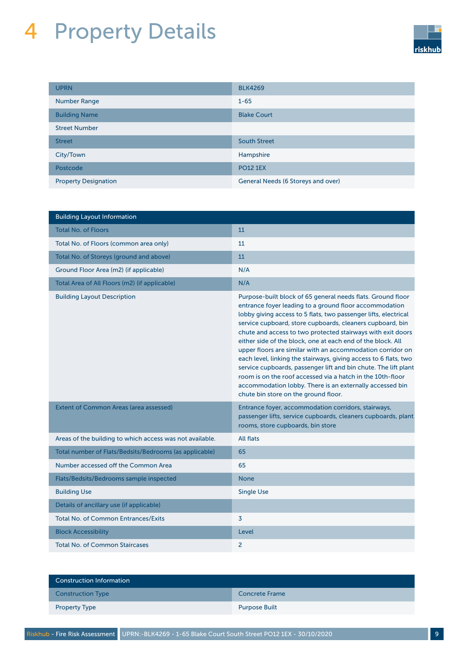# 4 Property Details



| <b>UPRN</b>                 | <b>BLK4269</b>                     |
|-----------------------------|------------------------------------|
| <b>Number Range</b>         | $1 - 65$                           |
| <b>Building Name</b>        | <b>Blake Court</b>                 |
| <b>Street Number</b>        |                                    |
| <b>Street</b>               | <b>South Street</b>                |
| City/Town                   | Hampshire                          |
| Postcode                    | <b>PO12 1EX</b>                    |
| <b>Property Designation</b> | General Needs (6 Storeys and over) |

| <b>Building Layout Information</b>                       |                                                                                                                                                                                                                                                                                                                                                                                                                                                                                                                                                                                                                                                                                                                                                            |
|----------------------------------------------------------|------------------------------------------------------------------------------------------------------------------------------------------------------------------------------------------------------------------------------------------------------------------------------------------------------------------------------------------------------------------------------------------------------------------------------------------------------------------------------------------------------------------------------------------------------------------------------------------------------------------------------------------------------------------------------------------------------------------------------------------------------------|
| <b>Total No. of Floors</b>                               | 11                                                                                                                                                                                                                                                                                                                                                                                                                                                                                                                                                                                                                                                                                                                                                         |
| Total No. of Floors (common area only)                   | 11                                                                                                                                                                                                                                                                                                                                                                                                                                                                                                                                                                                                                                                                                                                                                         |
| Total No. of Storeys (ground and above)                  | 11                                                                                                                                                                                                                                                                                                                                                                                                                                                                                                                                                                                                                                                                                                                                                         |
| Ground Floor Area (m2) (if applicable)                   | N/A                                                                                                                                                                                                                                                                                                                                                                                                                                                                                                                                                                                                                                                                                                                                                        |
| Total Area of All Floors (m2) (if applicable)            | N/A                                                                                                                                                                                                                                                                                                                                                                                                                                                                                                                                                                                                                                                                                                                                                        |
| <b>Building Layout Description</b>                       | Purpose-built block of 65 general needs flats. Ground floor<br>entrance foyer leading to a ground floor accommodation<br>lobby giving access to 5 flats, two passenger lifts, electrical<br>service cupboard, store cupboards, cleaners cupboard, bin<br>chute and access to two protected stairways with exit doors<br>either side of the block, one at each end of the block. All<br>upper floors are similar with an accommodation corridor on<br>each level, linking the stairways, giving access to 6 flats, two<br>service cupboards, passenger lift and bin chute. The lift plant<br>room is on the roof accessed via a hatch in the 10th-floor<br>accommodation lobby. There is an externally accessed bin<br>chute bin store on the ground floor. |
| <b>Extent of Common Areas (area assessed)</b>            | Entrance foyer, accommodation corridors, stairways,<br>passenger lifts, service cupboards, cleaners cupboards, plant<br>rooms, store cupboards, bin store                                                                                                                                                                                                                                                                                                                                                                                                                                                                                                                                                                                                  |
| Areas of the building to which access was not available. | <b>All flats</b>                                                                                                                                                                                                                                                                                                                                                                                                                                                                                                                                                                                                                                                                                                                                           |
| Total number of Flats/Bedsits/Bedrooms (as applicable)   | 65                                                                                                                                                                                                                                                                                                                                                                                                                                                                                                                                                                                                                                                                                                                                                         |
| Number accessed off the Common Area                      | 65                                                                                                                                                                                                                                                                                                                                                                                                                                                                                                                                                                                                                                                                                                                                                         |
| Flats/Bedsits/Bedrooms sample inspected                  | <b>None</b>                                                                                                                                                                                                                                                                                                                                                                                                                                                                                                                                                                                                                                                                                                                                                |
| <b>Building Use</b>                                      | <b>Single Use</b>                                                                                                                                                                                                                                                                                                                                                                                                                                                                                                                                                                                                                                                                                                                                          |
| Details of ancillary use (if applicable)                 |                                                                                                                                                                                                                                                                                                                                                                                                                                                                                                                                                                                                                                                                                                                                                            |
| <b>Total No. of Common Entrances/Exits</b>               | 3                                                                                                                                                                                                                                                                                                                                                                                                                                                                                                                                                                                                                                                                                                                                                          |
| <b>Block Accessibility</b>                               | Level                                                                                                                                                                                                                                                                                                                                                                                                                                                                                                                                                                                                                                                                                                                                                      |
| <b>Total No. of Common Staircases</b>                    | 2                                                                                                                                                                                                                                                                                                                                                                                                                                                                                                                                                                                                                                                                                                                                                          |

| <b>Construction Information</b> |                      |
|---------------------------------|----------------------|
| <b>Construction Type</b>        | Concrete Frame       |
| <b>Property Type</b>            | <b>Purpose Built</b> |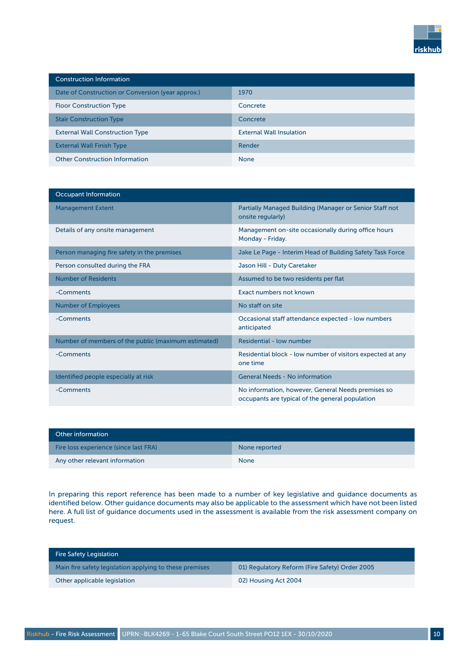

| <b>Construction Information</b>                   |                                 |
|---------------------------------------------------|---------------------------------|
| Date of Construction or Conversion (year approx.) | 1970                            |
| <b>Floor Construction Type</b>                    | Concrete                        |
| <b>Stair Construction Type</b>                    | Concrete                        |
| <b>External Wall Construction Type</b>            | <b>External Wall Insulation</b> |
| <b>External Wall Finish Type</b>                  | Render                          |
| <b>Other Construction Information</b>             | <b>None</b>                     |

| Occupant Information                                |                                                                                                       |
|-----------------------------------------------------|-------------------------------------------------------------------------------------------------------|
| <b>Management Extent</b>                            | Partially Managed Building (Manager or Senior Staff not<br>onsite regularly)                          |
| Details of any onsite management                    | Management on-site occasionally during office hours<br>Monday - Friday.                               |
| Person managing fire safety in the premises         | Jake Le Page - Interim Head of Building Safety Task Force                                             |
| Person consulted during the FRA                     | Jason Hill - Duty Caretaker                                                                           |
| <b>Number of Residents</b>                          | Assumed to be two residents per flat                                                                  |
| -Comments                                           | Exact numbers not known                                                                               |
| <b>Number of Employees</b>                          | No staff on site                                                                                      |
| -Comments                                           | Occasional staff attendance expected - low numbers<br>anticipated                                     |
| Number of members of the public (maximum estimated) | Residential - low number                                                                              |
| -Comments                                           | Residential block - low number of visitors expected at any<br>one time                                |
| Identified people especially at risk                | <b>General Needs - No information</b>                                                                 |
| -Comments                                           | No information, however, General Needs premises so<br>occupants are typical of the general population |

| Other information                     |               |
|---------------------------------------|---------------|
| Fire loss experience (since last FRA) | None reported |
| Any other relevant information        | <b>None</b>   |

In preparing this report reference has been made to a number of key legislative and guidance documents as identified below. Other guidance documents may also be applicable to the assessment which have not been listed here. A full list of guidance documents used in the assessment is available from the risk assessment company on request.

| <b>Fire Safety Legislation</b>                          |                                                |
|---------------------------------------------------------|------------------------------------------------|
| Main fire safety legislation applying to these premises | 01) Regulatory Reform (Fire Safety) Order 2005 |
| Other applicable legislation                            | 02) Housing Act 2004                           |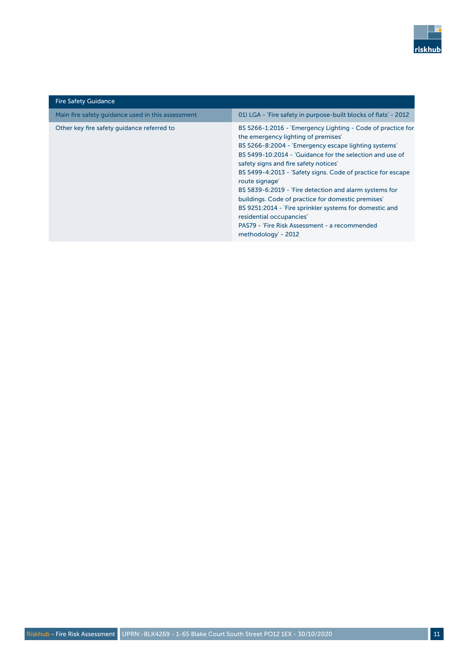

| <b>Fire Safety Guidance</b>                       |                                                                                                                                                                                                                                                                                                                                                                                                                                                                                                                                                                                                                                 |
|---------------------------------------------------|---------------------------------------------------------------------------------------------------------------------------------------------------------------------------------------------------------------------------------------------------------------------------------------------------------------------------------------------------------------------------------------------------------------------------------------------------------------------------------------------------------------------------------------------------------------------------------------------------------------------------------|
| Main fire safety quidance used in this assessment | 01) LGA - 'Fire safety in purpose-built blocks of flats' - 2012                                                                                                                                                                                                                                                                                                                                                                                                                                                                                                                                                                 |
| Other key fire safety guidance referred to        | BS 5266-1:2016 - 'Emergency Lighting - Code of practice for<br>the emergency lighting of premises'<br>BS 5266-8:2004 - 'Emergency escape lighting systems'<br>BS 5499-10:2014 - 'Guidance for the selection and use of<br>safety signs and fire safety notices'<br>BS 5499-4:2013 - 'Safety signs. Code of practice for escape<br>route signage'<br>BS 5839-6:2019 - 'Fire detection and alarm systems for<br>buildings. Code of practice for domestic premises'<br>BS 9251:2014 - 'Fire sprinkler systems for domestic and<br>residential occupancies'<br>PAS79 - 'Fire Risk Assessment - a recommended<br>methodology' - 2012 |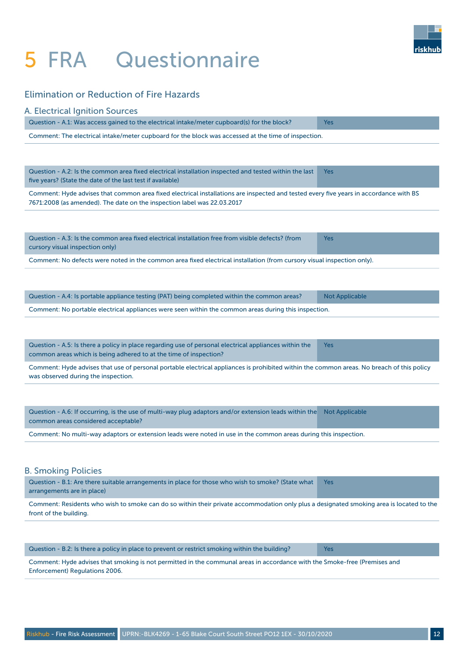## 5 FRA Questionnaire



#### Elimination or Reduction of Fire Hazards

| A. Electrical Ignition Sources                                                                                                                                                                                   |                       |
|------------------------------------------------------------------------------------------------------------------------------------------------------------------------------------------------------------------|-----------------------|
| Question - A.1: Was access gained to the electrical intake/meter cupboard(s) for the block?                                                                                                                      | <b>Yes</b>            |
| Comment: The electrical intake/meter cupboard for the block was accessed at the time of inspection.                                                                                                              |                       |
|                                                                                                                                                                                                                  |                       |
| Question - A.2: Is the common area fixed electrical installation inspected and tested within the last<br>five years? (State the date of the last test if available)                                              | <b>Yes</b>            |
| Comment: Hyde advises that common area fixed electrical installations are inspected and tested every five years in accordance with BS<br>7671:2008 (as amended). The date on the inspection label was 22.03.2017 |                       |
|                                                                                                                                                                                                                  |                       |
| Question - A.3: Is the common area fixed electrical installation free from visible defects? (from<br>cursory visual inspection only)                                                                             | <b>Yes</b>            |
| Comment: No defects were noted in the common area fixed electrical installation (from cursory visual inspection only).                                                                                           |                       |
|                                                                                                                                                                                                                  |                       |
| Question - A.4: Is portable appliance testing (PAT) being completed within the common areas?                                                                                                                     | <b>Not Applicable</b> |
| Comment: No portable electrical appliances were seen within the common areas during this inspection.                                                                                                             |                       |
|                                                                                                                                                                                                                  |                       |
| Question - A.5: Is there a policy in place regarding use of personal electrical appliances within the<br>common areas which is being adhered to at the time of inspection?                                       | <b>Yes</b>            |
| Comment: Hyde advises that use of personal portable electrical appliances is prohibited within the common areas. No breach of this policy<br>was observed during the inspection.                                 |                       |
|                                                                                                                                                                                                                  |                       |
| Question - A.6: If occurring, is the use of multi-way plug adaptors and/or extension leads within the<br>common areas considered acceptable?                                                                     | <b>Not Applicable</b> |
| Comment: No multi-way adaptors or extension leads were noted in use in the common areas during this inspection.                                                                                                  |                       |
|                                                                                                                                                                                                                  |                       |
|                                                                                                                                                                                                                  |                       |
| <b>B. Smoking Policies</b><br>Question - B.1: Are there suitable arrangements in place for those who wish to smoke? (State what                                                                                  | Yes                   |
| arrangements are in place)                                                                                                                                                                                       |                       |
| Comment: Residents who wish to smoke can do so within their private accommodation only plus a designated smoking area is located to the<br>front of the building.                                                |                       |
|                                                                                                                                                                                                                  |                       |
|                                                                                                                                                                                                                  |                       |

Comment: Hyde advises that smoking is not permitted in the communal areas in accordance with the Smoke-free (Premises and Enforcement) Regulations 2006.

Question - B.2: Is there a policy in place to prevent or restrict smoking within the building? Yes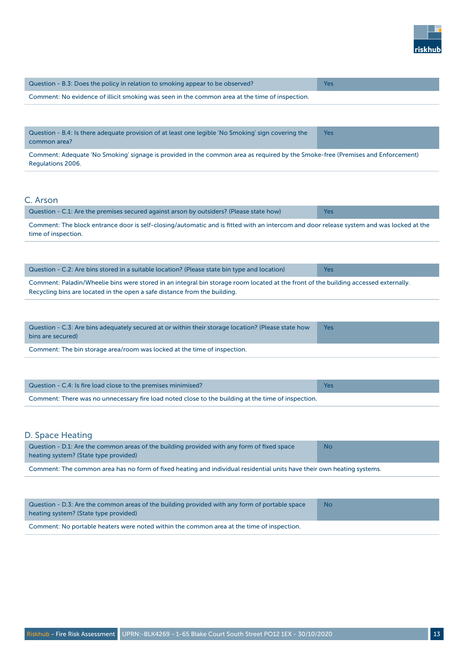

| Question - B.3: Does the policy in relation to smoking appear to be observed?                  | Yes |
|------------------------------------------------------------------------------------------------|-----|
| Comment: No evidence of illicit smoking was seen in the common area at the time of inspection. |     |

| Question - B.4: Is there adequate provision of at least one legible 'No Smoking' sign covering the | <b>Yes</b> |
|----------------------------------------------------------------------------------------------------|------------|
| common area?                                                                                       |            |

Comment: Adequate 'No Smoking' signage is provided in the common area as required by the Smoke-free (Premises and Enforcement) Regulations 2006.

#### C. Arson

| Question - C.1: Are the premises secured against arson by outsiders? (Please state how)                                                         |  |
|-------------------------------------------------------------------------------------------------------------------------------------------------|--|
| . Campagnati The black costopera depuis sich besitzels der bestehten die Gitzels in intercomposable de andere erstem medical existential et the |  |

Comment: The block entrance door is self-closing/automatic and is fitted with an intercom and door release system and was locked at the time of inspection.

| Question - C.2: Are bins stored in a suitable location? (Please state bin type and location)                                        | <b>Yes</b> |
|-------------------------------------------------------------------------------------------------------------------------------------|------------|
| Comment: Paladin/Wheelie bins were stored in an integral bin storage room located at the front of the building accessed externally. |            |
| Recycling bins are located in the open a safe distance from the building.                                                           |            |

| Question - C.3: Are bins adequately secured at or within their storage location? (Please state how<br>bins are secured) | Yes |
|-------------------------------------------------------------------------------------------------------------------------|-----|
| Comment: The bin storage area/room was locked at the time of inspection.                                                |     |

| Question - C.4: Is fire load close to the premises minimised?                                      |  |
|----------------------------------------------------------------------------------------------------|--|
| Comment: There was no unnecessary fire load noted close to the building at the time of inspection. |  |

#### D. Space Heating

| Question - D.1: Are the common areas of the building provided with any form of fixed space<br>heating system? (State type provided) | <b>No</b> |
|-------------------------------------------------------------------------------------------------------------------------------------|-----------|
| Comment: The common area has no form of fixed heating and individual residential units have their own heating systems.              |           |

| Question - D.3: Are the common areas of the building provided with any form of portable space<br>heating system? (State type provided) | -No |
|----------------------------------------------------------------------------------------------------------------------------------------|-----|
| Comment: No portable heaters were noted within the common area at the time of inspection.                                              |     |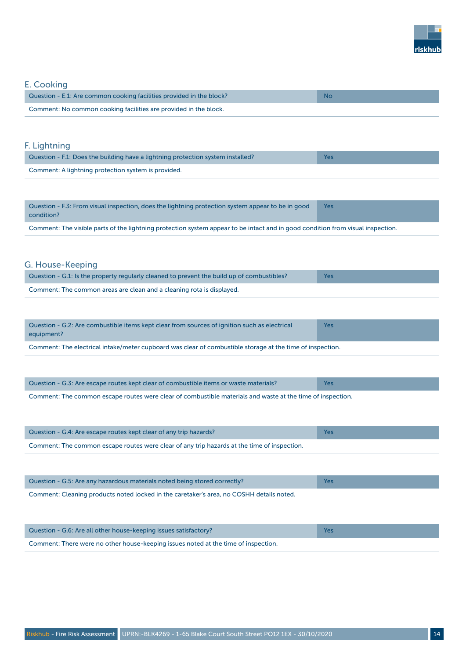

#### E. Cooking

| Question - E.1: Are common cooking facilities provided in the block? | -Nc |
|----------------------------------------------------------------------|-----|
| Comment: No common cooking facilities are provided in the block.     |     |

#### F. Lightning

| Question - F.1: Does the building have a lightning protection system installed? | Yes |
|---------------------------------------------------------------------------------|-----|
| Comment: A lightning protection system is provided.                             |     |

| [Question - F.3: From visual inspection, does the lightning protection system appear to be in good<br>condition?                                                                                                               | <b>Yes</b> |
|--------------------------------------------------------------------------------------------------------------------------------------------------------------------------------------------------------------------------------|------------|
| the second company of the second contract of the company of the second company of the second company of the company of the company of the company of the company of the company of the company of the company of the company o |            |

Comment: The visible parts of the lightning protection system appear to be intact and in good condition from visual inspection.

#### G. House-Keeping

| √ Question - G.1: Is the property regularly cleaned to prevent the build up of combustibles? √ | Yes. |
|------------------------------------------------------------------------------------------------|------|
| Comment: The common areas are clean and a cleaning rota is displayed.                          |      |

| Question - G.2: Are combustible items kept clear from sources of ignition such as electrical<br>equipment? | <b>Yes</b> |
|------------------------------------------------------------------------------------------------------------|------------|
| Comment: The electrical intake/meter cupboard was clear of combustible storage at the time of inspection.  |            |

| Question - G.3: Are escape routes kept clear of combustible items or waste materials?                      | Yes |
|------------------------------------------------------------------------------------------------------------|-----|
| Comment: The common escape routes were clear of combustible materials and waste at the time of inspection. |     |

| Question - G.4: Are escape routes kept clear of any trip hazards?                           | Yes |
|---------------------------------------------------------------------------------------------|-----|
| Comment: The common escape routes were clear of any trip hazards at the time of inspection. |     |

| Question - G.5: Are any hazardous materials noted being stored correctly?                | Yes |
|------------------------------------------------------------------------------------------|-----|
| Comment: Cleaning products noted locked in the caretaker's area, no COSHH details noted. |     |

| Question - G.6: Are all other house-keeping issues satisfactory?                   |  |
|------------------------------------------------------------------------------------|--|
| Comment: There were no other house-keeping issues noted at the time of inspection. |  |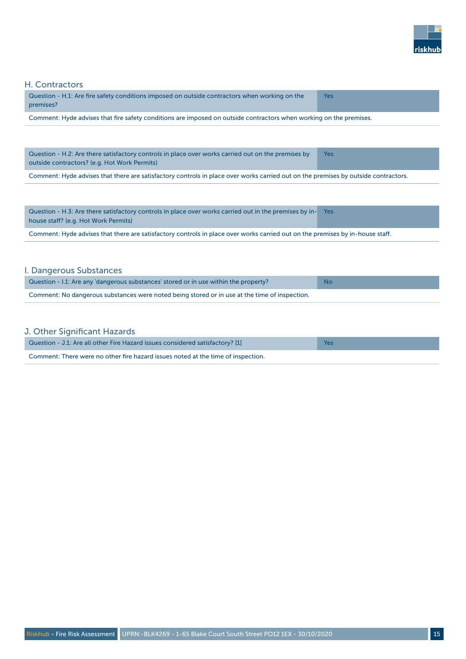

#### H. Contractors

| Question - H.1: Are fire safety conditions imposed on outside contractors when working on the<br>premises?         | Yes |
|--------------------------------------------------------------------------------------------------------------------|-----|
| Comment: Hyde advises that fire safety conditions are imposed on outside contractors when working on the premises. |     |

Question - H.2: Are there satisfactory controls in place over works carried out on the premises by outside contractors? (e.g. Hot Work Permits) Yes

Comment: Hyde advises that there are satisfactory controls in place over works carried out on the premises by outside contractors.

| Question - H.3: Are there satisfactory controls in place over works carried out in the premises by in- Yes<br>house staff? (e.g. Hot Work Permits) |  |  |
|----------------------------------------------------------------------------------------------------------------------------------------------------|--|--|
| Comment: Hyde advises that there are satisfactory controls in place over works carried out on the premises by in-house staff.                      |  |  |

#### I. Dangerous Substances

| Question - I.1: Are any dangerous substances' stored or in use within the property?           | <b>No</b> |
|-----------------------------------------------------------------------------------------------|-----------|
| Comment: No dangerous substances were noted being stored or in use at the time of inspection. |           |

|  | J. Other Significant Hazards |  |  |
|--|------------------------------|--|--|
|  |                              |  |  |

| Question - J.1: Are all other Fire Hazard issues considered satisfactory? [1]    | <b>Yes</b> |
|----------------------------------------------------------------------------------|------------|
| Comment: There were no other fire hazard issues noted at the time of inspection. |            |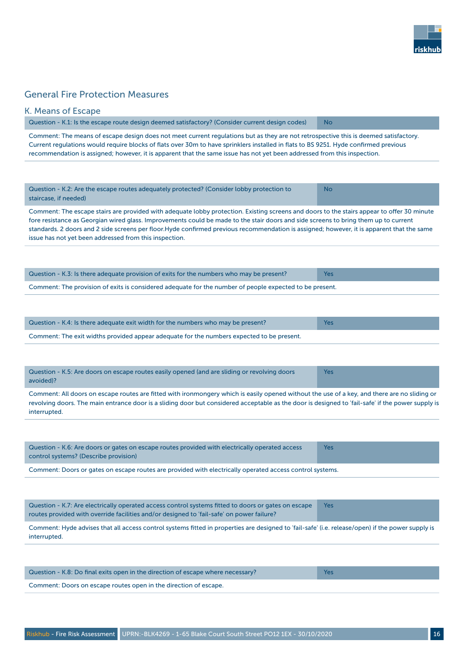

#### General Fire Protection Measures

| Question - K.1: Is the escape route design deemed satisfactory? (Consider current design codes)                                                                                                                                                                                                                                                                                                                                                                                          | <b>No</b>  |  |
|------------------------------------------------------------------------------------------------------------------------------------------------------------------------------------------------------------------------------------------------------------------------------------------------------------------------------------------------------------------------------------------------------------------------------------------------------------------------------------------|------------|--|
| Comment: The means of escape design does not meet current regulations but as they are not retrospective this is deemed satisfactory.<br>Current regulations would require blocks of flats over 30m to have sprinklers installed in flats to BS 9251. Hyde confirmed previous<br>recommendation is assigned; however, it is apparent that the same issue has not yet been addressed from this inspection.                                                                                 |            |  |
|                                                                                                                                                                                                                                                                                                                                                                                                                                                                                          |            |  |
| Question - K.2: Are the escape routes adequately protected? (Consider lobby protection to<br>staircase, if needed)                                                                                                                                                                                                                                                                                                                                                                       | <b>No</b>  |  |
| Comment: The escape stairs are provided with adequate lobby protection. Existing screens and doors to the stairs appear to offer 30 minute<br>fore resistance as Georgian wired glass. Improvements could be made to the stair doors and side screens to bring them up to current<br>standards. 2 doors and 2 side screens per floor.Hyde confirmed previous recommendation is assigned; however, it is apparent that the same<br>issue has not yet been addressed from this inspection. |            |  |
| Question - K.3: Is there adequate provision of exits for the numbers who may be present?                                                                                                                                                                                                                                                                                                                                                                                                 | <b>Yes</b> |  |
| Comment: The provision of exits is considered adequate for the number of people expected to be present.                                                                                                                                                                                                                                                                                                                                                                                  |            |  |
|                                                                                                                                                                                                                                                                                                                                                                                                                                                                                          |            |  |
| Question - K.4: Is there adequate exit width for the numbers who may be present?                                                                                                                                                                                                                                                                                                                                                                                                         | Yes        |  |
| Comment: The exit widths provided appear adequate for the numbers expected to be present.                                                                                                                                                                                                                                                                                                                                                                                                |            |  |
| Question - K.5: Are doors on escape routes easily opened (and are sliding or revolving doors<br>avoided)?                                                                                                                                                                                                                                                                                                                                                                                | <b>Yes</b> |  |
| Comment: All doors on escape routes are fitted with ironmongery which is easily opened without the use of a key, and there are no sliding or<br>revolving doors. The main entrance door is a sliding door but considered acceptable as the door is designed to 'fail-safe' if the power supply is<br>interrupted.                                                                                                                                                                        |            |  |
|                                                                                                                                                                                                                                                                                                                                                                                                                                                                                          |            |  |
| Question - K.6: Are doors or gates on escape routes provided with electrically operated access<br>control systems? (Describe provision)                                                                                                                                                                                                                                                                                                                                                  | <b>Yes</b> |  |
| Comment: Doors or gates on escape routes are provided with electrically operated access control systems.                                                                                                                                                                                                                                                                                                                                                                                 |            |  |
|                                                                                                                                                                                                                                                                                                                                                                                                                                                                                          |            |  |
| Question - K.7: Are electrically operated access control systems fitted to doors or gates on escape                                                                                                                                                                                                                                                                                                                                                                                      | <b>Yes</b> |  |

routes provided with override facilities and/or designed to 'fail-safe' on power failure? Comment: Hyde advises that all access control systems fitted in properties are designed to 'fail-safe' (i.e. release/open) if the power supply is interrupted.

| Question - K.8: Do final exits open in the direction of escape where necessary? | Yes |
|---------------------------------------------------------------------------------|-----|
| Comment: Doors on escape routes open in the direction of escape.                |     |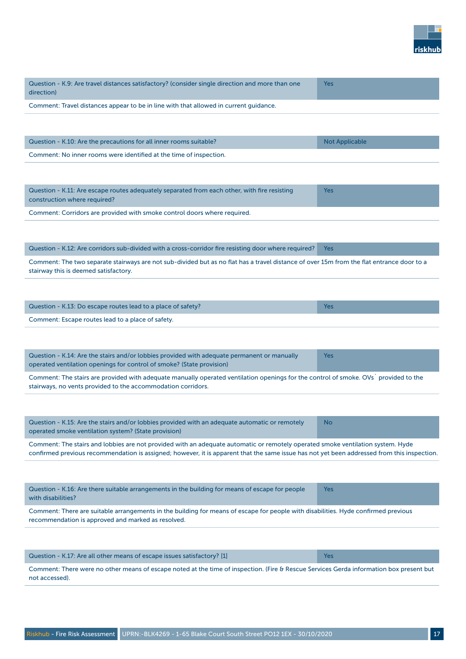

| Question - K.9: Are travel distances satisfactory? (consider single direction and more than one<br>direction)                                                                      | <b>Yes</b>            |
|------------------------------------------------------------------------------------------------------------------------------------------------------------------------------------|-----------------------|
| Comment: Travel distances appear to be in line with that allowed in current guidance.                                                                                              |                       |
|                                                                                                                                                                                    |                       |
| Question - K.10: Are the precautions for all inner rooms suitable?                                                                                                                 | <b>Not Applicable</b> |
| Comment: No inner rooms were identified at the time of inspection.                                                                                                                 |                       |
|                                                                                                                                                                                    |                       |
| Question - K.11: Are escape routes adequately separated from each other, with fire resisting<br>construction where required?                                                       | <b>Yes</b>            |
| Comment: Corridors are provided with smoke control doors where required.                                                                                                           |                       |
|                                                                                                                                                                                    |                       |
| Question - K.12: Are corridors sub-divided with a cross-corridor fire resisting door where required?                                                                               | <b>Yes</b>            |
| Comment: The two separate stairways are not sub-divided but as no flat has a travel distance of over 15m from the flat entrance door to a<br>stairway this is deemed satisfactory. |                       |
|                                                                                                                                                                                    |                       |
| Question - K.13: Do escape routes lead to a place of safety?                                                                                                                       | <b>Yes</b>            |

Comment: Escape routes lead to a place of safety.

| Question - K.14: Are the stairs and/or lobbies provided with adequate permanent or manually<br>operated ventilation openings for control of smoke? (State provision)                                | Yes |  |
|-----------------------------------------------------------------------------------------------------------------------------------------------------------------------------------------------------|-----|--|
| Comment: The stairs are provided with adequate manually operated ventilation openings for the control of smoke. OVs provided to the<br>stairways, no vents provided to the accommodation corridors. |     |  |

| Question - K.15: Are the stairs and/or lobbies provided with an adequate automatic or remotely | No |
|------------------------------------------------------------------------------------------------|----|
| operated smoke ventilation system? (State provision)                                           |    |

Comment: The stairs and lobbies are not provided with an adequate automatic or remotely operated smoke ventilation system. Hyde confirmed previous recommendation is assigned; however, it is apparent that the same issue has not yet been addressed from this inspection.

| Question - K.16: Are there suitable arrangements in the building for means of escape for people<br>with disabilities?              | Yes |  |
|------------------------------------------------------------------------------------------------------------------------------------|-----|--|
| Comment: There are suitable arrangements in the building for means of escape for people with disabilities. Hyde confirmed previous |     |  |
| recommendation is approved and marked as resolved.                                                                                 |     |  |

| Question - K.17: Are all other means of escape issues satisfactory? [1] \                                                               | Yes |  |
|-----------------------------------------------------------------------------------------------------------------------------------------|-----|--|
| Comment: There were no other means of escape noted at the time of inspection. (Fire & Rescue Services Gerda information box present but |     |  |
| not accessed).                                                                                                                          |     |  |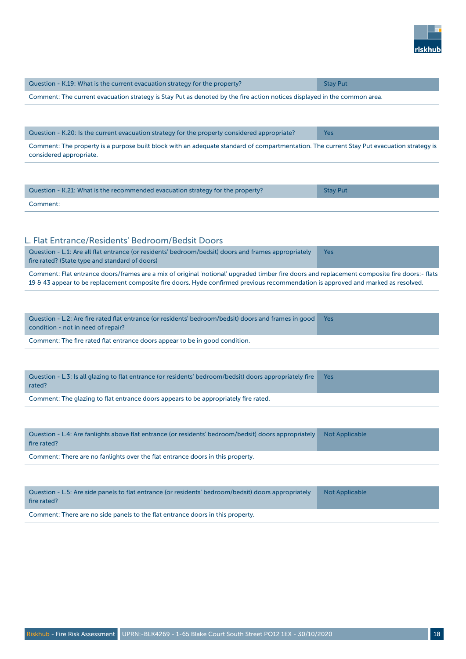

| Question - K.19: What is the current evacuation strategy for the property?                                                                                           | <b>Stay Put</b>       |
|----------------------------------------------------------------------------------------------------------------------------------------------------------------------|-----------------------|
| Comment: The current evacuation strategy is Stay Put as denoted by the fire action notices displayed in the common area.                                             |                       |
|                                                                                                                                                                      |                       |
|                                                                                                                                                                      |                       |
| Question - K.20: Is the current evacuation strategy for the property considered appropriate?                                                                         | <b>Yes</b>            |
| Comment: The property is a purpose built block with an adequate standard of compartmentation. The current Stay Put evacuation strategy is<br>considered appropriate. |                       |
|                                                                                                                                                                      |                       |
|                                                                                                                                                                      |                       |
| Question - K.21: What is the recommended evacuation strategy for the property?                                                                                       | <b>Stay Put</b>       |
| Comment:                                                                                                                                                             |                       |
|                                                                                                                                                                      |                       |
|                                                                                                                                                                      |                       |
| L. Flat Entrance/Residents' Bedroom/Bedsit Doors<br>Question - L.1: Are all flat entrance (or residents' bedroom/bedsit) doors and frames appropriately              | <b>Yes</b>            |
| fire rated? (State type and standard of doors)                                                                                                                       |                       |
| Comment: Flat entrance doors/frames are a mix of original 'notional' upgraded timber fire doors and replacement composite fire doors:- flats                         |                       |
| 19 & 43 appear to be replacement composite fire doors. Hyde confirmed previous recommendation is approved and marked as resolved.                                    |                       |
|                                                                                                                                                                      |                       |
| Question - L.2: Are fire rated flat entrance (or residents' bedroom/bedsit) doors and frames in good                                                                 | <b>Yes</b>            |
| condition - not in need of repair?                                                                                                                                   |                       |
| Comment: The fire rated flat entrance doors appear to be in good condition.                                                                                          |                       |
|                                                                                                                                                                      |                       |
| Question - L.3: Is all glazing to flat entrance (or residents' bedroom/bedsit) doors appropriately fire                                                              | Yes                   |
| rated?                                                                                                                                                               |                       |
| Comment: The glazing to flat entrance doors appears to be appropriately fire rated.                                                                                  |                       |
|                                                                                                                                                                      |                       |
|                                                                                                                                                                      |                       |
| Question - L.4: Are fanlights above flat entrance (or residents' bedroom/bedsit) doors appropriately<br>fire rated?                                                  | <b>Not Applicable</b> |
| Comment: There are no fanlights over the flat entrance doors in this property.                                                                                       |                       |
|                                                                                                                                                                      |                       |
|                                                                                                                                                                      |                       |
| Question - L.5: Are side panels to flat entrance (or residents' bedroom/bedsit) doors appropriately                                                                  | <b>Not Applicable</b> |
| fire rated?                                                                                                                                                          |                       |
| Comment: There are no side panels to the flat entrance doors in this property.                                                                                       |                       |
|                                                                                                                                                                      |                       |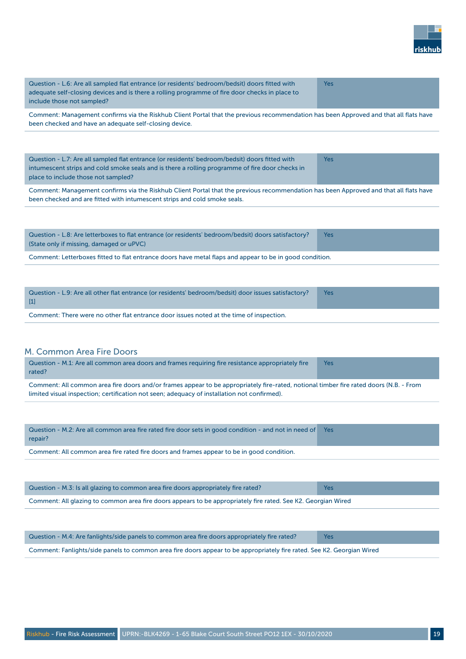

| Question - L.6: Are all sampled flat entrance (or residents' bedroom/bedsit) doors fitted with<br>adequate self-closing devices and is there a rolling programme of fire door checks in place to<br>include those not sampled? | Yes |
|--------------------------------------------------------------------------------------------------------------------------------------------------------------------------------------------------------------------------------|-----|
|                                                                                                                                                                                                                                | .   |

Comment: Management confirms via the Riskhub Client Portal that the previous recommendation has been Approved and that all flats have been checked and have an adequate self-closing device.

| Question - L.7: Are all sampled flat entrance (or residents' bedroom/bedsit) doors fitted with  | Yes |
|-------------------------------------------------------------------------------------------------|-----|
| intumescent strips and cold smoke seals and is there a rolling programme of fire door checks in |     |
| place to include those not sampled?                                                             |     |

Comment: Management confirms via the Riskhub Client Portal that the previous recommendation has been Approved and that all flats have been checked and are fitted with intumescent strips and cold smoke seals.

| Question - L.8: Are letterboxes to flat entrance (or residents' bedroom/bedsit) doors satisfactory?<br>(State only if missing, damaged or uPVC) | <b>Yes</b> |
|-------------------------------------------------------------------------------------------------------------------------------------------------|------------|
| Comment: Letterboxes fitted to flat entrance doors have metal flaps and appear to be in good condition.                                         |            |

| Question - L.9: Are all other flat entrance (or residents' bedroom/bedsit) door issues satisfactory?<br>$\lceil 1 \rceil$ | <b>Yes</b> |
|---------------------------------------------------------------------------------------------------------------------------|------------|
| Comment: There were no other flat entrance door issues noted at the time of inspection.                                   |            |

#### M. Common Area Fire Doors

| Question - M.1: Are all common area doors and frames requiring fire resistance appropriately fire<br>rated?                                                                                                                           | Yes |
|---------------------------------------------------------------------------------------------------------------------------------------------------------------------------------------------------------------------------------------|-----|
| Comment: All common area fire doors and/or frames appear to be appropriately fire-rated, notional timber fire rated doors (N.B. - From<br>limited visual inspection; certification not seen; adequacy of installation not confirmed). |     |

| Question - M.2: Are all common area fire rated fire door sets in good condition - and not in need of Yes<br>repair? |  |
|---------------------------------------------------------------------------------------------------------------------|--|
| Comment: All common area fire rated fire doors and frames appear to be in good condition.                           |  |

| Question - M.3: Is all glazing to common area fire doors appropriately fire rated?                            | Yes |
|---------------------------------------------------------------------------------------------------------------|-----|
| Comment: All glazing to common area fire doors appears to be appropriately fire rated. See K2. Georgian Wired |     |

| Question - M.4: Are fanlights/side panels to common area fire doors appropriately fire rated?                          | Yes |
|------------------------------------------------------------------------------------------------------------------------|-----|
| Comment: Fanlights/side panels to common area fire doors appear to be appropriately fire rated. See K2. Georgian Wired |     |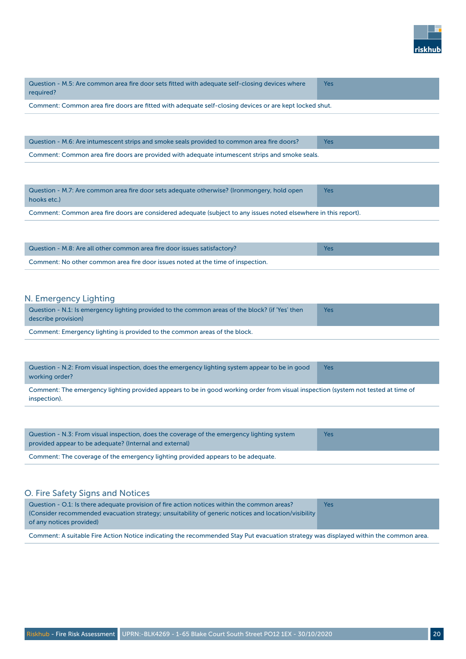

| Question - M.5: Are common area fire door sets fitted with adequate self-closing devices where<br>required? | Yes        |
|-------------------------------------------------------------------------------------------------------------|------------|
| Comment: Common area fire doors are fitted with adequate self-closing devices or are kept locked shut.      |            |
|                                                                                                             |            |
|                                                                                                             |            |
| Question - M.6: Are intumescent strips and smoke seals provided to common area fire doors?                  | <b>Yes</b> |

Comment: Common area fire doors are provided with adequate intumescent strips and smoke seals.

Question - M.7: Are common area fire door sets adequate otherwise? (Ironmongery, hold open hooks etc.) Yes

Comment: Common area fire doors are considered adequate (subject to any issues noted elsewhere in this report).

| Question - M.8: Are all other common area fire door issues satisfactory?        | Yes |
|---------------------------------------------------------------------------------|-----|
| Comment: No other common area fire door issues noted at the time of inspection. |     |

#### N. Emergency Lighting

| Question - N.1: Is emergency lighting provided to the common areas of the block? (if 'Yes' then<br>describe provision) | Yes |
|------------------------------------------------------------------------------------------------------------------------|-----|
| Comment: Emergency lighting is provided to the common areas of the block.                                              |     |

| Question - N.2: From visual inspection, does the emergency lighting system appear to be in good<br>working order?                 | Yes |
|-----------------------------------------------------------------------------------------------------------------------------------|-----|
| Comment: The emergency lighting provided appears to be in good working order from visual inspection (system not tested at time of |     |
| inspection).                                                                                                                      |     |

| Question - N.3: From visual inspection, does the coverage of the emergency lighting system<br>provided appear to be adequate? (Internal and external) | <b>Yes</b> |
|-------------------------------------------------------------------------------------------------------------------------------------------------------|------------|
| Comment: The coverage of the emergency lighting provided appears to be adequate.                                                                      |            |

#### O. Fire Safety Signs and Notices

| Question - 0.1: Is there adequate provision of fire action notices within the common areas?         | <b>Yes</b> |
|-----------------------------------------------------------------------------------------------------|------------|
| (Consider recommended evacuation strategy; unsuitability of generic notices and location/visibility |            |
| of any notices provided)                                                                            |            |
|                                                                                                     |            |

Comment: A suitable Fire Action Notice indicating the recommended Stay Put evacuation strategy was displayed within the common area.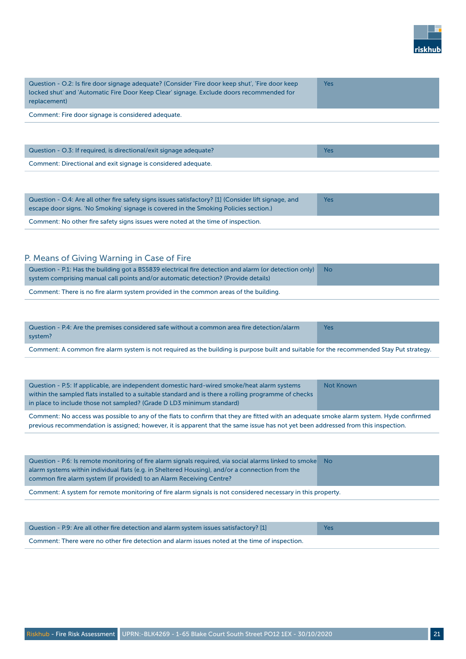

| Question - O.2: Is fire door signage adequate? (Consider 'Fire door keep shut', 'Fire door keep<br>locked shut' and 'Automatic Fire Door Keep Clear' signage. Exclude doors recommended for<br>replacement) | Yes |
|-------------------------------------------------------------------------------------------------------------------------------------------------------------------------------------------------------------|-----|
| Comment: Fire door signage is considered adequate.                                                                                                                                                          |     |
|                                                                                                                                                                                                             |     |
| Question - O.3: If required, is directional/exit signage adequate?                                                                                                                                          | Yes |

Comment: Directional and exit signage is considered adequate.

| Question - O.4: Are all other fire safety signs issues satisfactory? [1] (Consider lift signage, and<br>escape door signs. 'No Smoking' signage is covered in the Smoking Policies section.) | Yes |
|----------------------------------------------------------------------------------------------------------------------------------------------------------------------------------------------|-----|
| Comment: No other fire safety signs issues were noted at the time of inspection.                                                                                                             |     |

#### P. Means of Giving Warning in Case of Fire

| Question - P.1: Has the building got a BS5839 electrical fire detection and alarm (or detection only) No<br>system comprising manual call points and/or automatic detection? (Provide details) |  |
|------------------------------------------------------------------------------------------------------------------------------------------------------------------------------------------------|--|
| Comment: There is no fire alarm system provided in the common areas of the building                                                                                                            |  |

Comment: There is no fire alarm system provided in the common areas of the building.

| Question - P.4: Are the premises considered safe without a common area fire detection/alarm<br>system? | Yes |
|--------------------------------------------------------------------------------------------------------|-----|
|                                                                                                        |     |

Comment: A common fire alarm system is not required as the building is purpose built and suitable for the recommended Stay Put strategy.

| Question - P.5: If applicable, are independent domestic hard-wired smoke/heat alarm systems<br>within the sampled flats installed to a suitable standard and is there a rolling programme of checks<br>in place to include those not sampled? (Grade D LD3 minimum standard) | Not Known |
|------------------------------------------------------------------------------------------------------------------------------------------------------------------------------------------------------------------------------------------------------------------------------|-----------|
| Comment: No access was possible to any of the flats to confirm that they are fitted with an adequate smoke alarm system. Hyde confirmed                                                                                                                                      |           |

previous recommendation is assigned; however, it is apparent that the same issue has not yet been addressed from this inspection.

| Question - P.6: Is remote monitoring of fire alarm signals required, via social alarms linked to smoke No<br>alarm systems within individual flats (e.g. in Sheltered Housing), and/or a connection from the<br>common fire alarm system (if provided) to an Alarm Receiving Centre? |  |
|--------------------------------------------------------------------------------------------------------------------------------------------------------------------------------------------------------------------------------------------------------------------------------------|--|
| Comment: A system for remote monitoring of fire alarm signals is not considered necessary in this property.                                                                                                                                                                          |  |

| Question - P.9: Are all other fire detection and alarm system issues satisfactory? [1]        | <b>Yes</b> |
|-----------------------------------------------------------------------------------------------|------------|
| Comment: There were no other fire detection and alarm issues noted at the time of inspection. |            |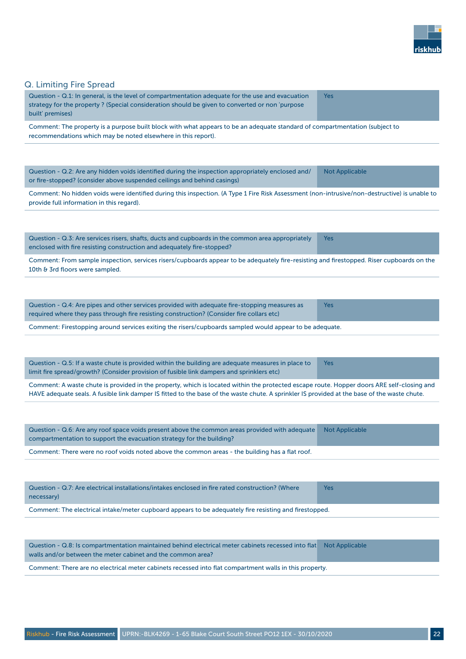

### Q. Limiting Fire Spread

| Q. Limiting Fire Spread                                                                                                                                                                                                                                                                   |                       |
|-------------------------------------------------------------------------------------------------------------------------------------------------------------------------------------------------------------------------------------------------------------------------------------------|-----------------------|
| Question - Q.1: In general, is the level of compartmentation adequate for the use and evacuation<br>strategy for the property? (Special consideration should be given to converted or non 'purpose<br>built' premises)                                                                    | Yes                   |
| Comment: The property is a purpose built block with what appears to be an adequate standard of compartmentation (subject to<br>recommendations which may be noted elsewhere in this report).                                                                                              |                       |
|                                                                                                                                                                                                                                                                                           |                       |
| Question - Q.2: Are any hidden voids identified during the inspection appropriately enclosed and/<br>or fire-stopped? (consider above suspended ceilings and behind casings)                                                                                                              | <b>Not Applicable</b> |
| Comment: No hidden voids were identified during this inspection. (A Type 1 Fire Risk Assessment (non-intrusive/non-destructive) is unable to<br>provide full information in this regard).                                                                                                 |                       |
|                                                                                                                                                                                                                                                                                           |                       |
| Question - Q.3: Are services risers, shafts, ducts and cupboards in the common area appropriately<br>enclosed with fire resisting construction and adequately fire-stopped?                                                                                                               | Yes                   |
| Comment: From sample inspection, services risers/cupboards appear to be adequately fire-resisting and firestopped. Riser cupboards on the<br>10th & 3rd floors were sampled.                                                                                                              |                       |
|                                                                                                                                                                                                                                                                                           |                       |
| Question - Q.4: Are pipes and other services provided with adequate fire-stopping measures as<br>required where they pass through fire resisting construction? (Consider fire collars etc)                                                                                                | Yes                   |
| Comment: Firestopping around services exiting the risers/cupboards sampled would appear to be adequate.                                                                                                                                                                                   |                       |
|                                                                                                                                                                                                                                                                                           |                       |
| Question - Q.5: If a waste chute is provided within the building are adequate measures in place to<br>limit fire spread/growth? (Consider provision of fusible link dampers and sprinklers etc)                                                                                           | <b>Yes</b>            |
| Comment: A waste chute is provided in the property, which is located within the protected escape route. Hopper doors ARE self-closing and<br>HAVE adequate seals. A fusible link damper IS fitted to the base of the waste chute. A sprinkler IS provided at the base of the waste chute. |                       |
|                                                                                                                                                                                                                                                                                           |                       |
| Question - Q.6: Are any roof space voids present above the common areas provided with adequate<br>compartmentation to support the evacuation strategy for the building?                                                                                                                   | <b>Not Applicable</b> |
| Comment: There were no roof voids noted above the common areas - the building has a flat roof.                                                                                                                                                                                            |                       |
|                                                                                                                                                                                                                                                                                           |                       |
| Question - Q.7: Are electrical installations/intakes enclosed in fire rated construction? (Where<br>necessary)                                                                                                                                                                            | <b>Yes</b>            |
| Comment: The electrical intake/meter cupboard appears to be adequately fire resisting and firestopped.                                                                                                                                                                                    |                       |
|                                                                                                                                                                                                                                                                                           |                       |
| Question - Q.8: Is compartmentation maintained behind electrical meter cabinets recessed into flat<br>walls and/or between the meter cabinet and the common area?                                                                                                                         | <b>Not Applicable</b> |
| Comment: There are no electrical meter cabinets recessed into flat compartment walls in this property.                                                                                                                                                                                    |                       |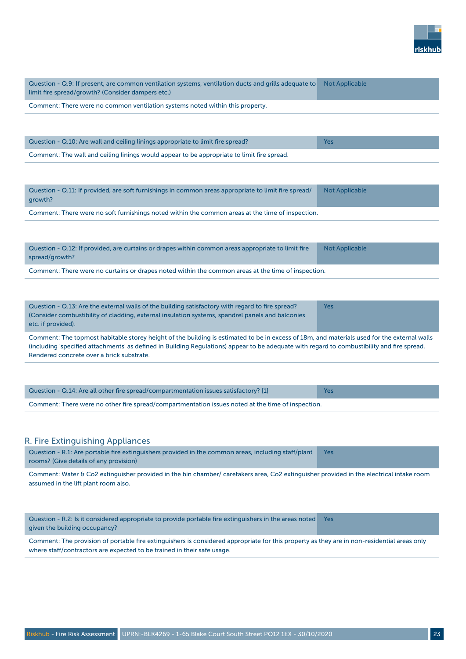

| Question - Q.9: If present, are common ventilation systems, ventilation ducts and grills adequate to<br>limit fire spread/growth? (Consider dampers etc.)                                                                                                                                                                               | <b>Not Applicable</b> |  |
|-----------------------------------------------------------------------------------------------------------------------------------------------------------------------------------------------------------------------------------------------------------------------------------------------------------------------------------------|-----------------------|--|
| Comment: There were no common ventilation systems noted within this property.                                                                                                                                                                                                                                                           |                       |  |
|                                                                                                                                                                                                                                                                                                                                         |                       |  |
| Question - Q.10: Are wall and ceiling linings appropriate to limit fire spread?                                                                                                                                                                                                                                                         | <b>Yes</b>            |  |
| Comment: The wall and ceiling linings would appear to be appropriate to limit fire spread.                                                                                                                                                                                                                                              |                       |  |
|                                                                                                                                                                                                                                                                                                                                         |                       |  |
| Question - Q.11: If provided, are soft furnishings in common areas appropriate to limit fire spread/<br>growth?                                                                                                                                                                                                                         | <b>Not Applicable</b> |  |
| Comment: There were no soft furnishings noted within the common areas at the time of inspection.                                                                                                                                                                                                                                        |                       |  |
|                                                                                                                                                                                                                                                                                                                                         |                       |  |
| Question - Q.12: If provided, are curtains or drapes within common areas appropriate to limit fire<br>spread/growth?                                                                                                                                                                                                                    | <b>Not Applicable</b> |  |
| Comment: There were no curtains or drapes noted within the common areas at the time of inspection.                                                                                                                                                                                                                                      |                       |  |
|                                                                                                                                                                                                                                                                                                                                         |                       |  |
| Question - Q.13: Are the external walls of the building satisfactory with regard to fire spread?<br>(Consider combustibility of cladding, external insulation systems, spandrel panels and balconies<br>etc. if provided).                                                                                                              | Yes                   |  |
| Comment: The topmost habitable storey height of the building is estimated to be in excess of 18m, and materials used for the external walls<br>(including 'specified attachments' as defined in Building Regulations) appear to be adequate with regard to combustibility and fire spread.<br>Rendered concrete over a brick substrate. |                       |  |
|                                                                                                                                                                                                                                                                                                                                         |                       |  |
| Question - Q.14: Are all other fire spread/compartmentation issues satisfactory? [1]                                                                                                                                                                                                                                                    | Yes                   |  |
| Comment: There were no other fire spread/compartmentation issues noted at the time of inspection.                                                                                                                                                                                                                                       |                       |  |
|                                                                                                                                                                                                                                                                                                                                         |                       |  |
|                                                                                                                                                                                                                                                                                                                                         |                       |  |
| R. Fire Extinguishing Appliances                                                                                                                                                                                                                                                                                                        |                       |  |
| Question - R.1: Are portable fire extinguishers provided in the common areas, including staff/plant<br>rooms? (Give details of any provision)                                                                                                                                                                                           | <b>Yes</b>            |  |
| Comment: Water & Co2 extinguisher provided in the bin chamber/ caretakers area, Co2 extinguisher provided in the electrical intake room<br>assumed in the lift plant room also.                                                                                                                                                         |                       |  |

Question - R.2: Is it considered appropriate to provide portable fire extinguishers in the areas noted Yes given the building occupancy?

Comment: The provision of portable fire extinguishers is considered appropriate for this property as they are in non-residential areas only where staff/contractors are expected to be trained in their safe usage.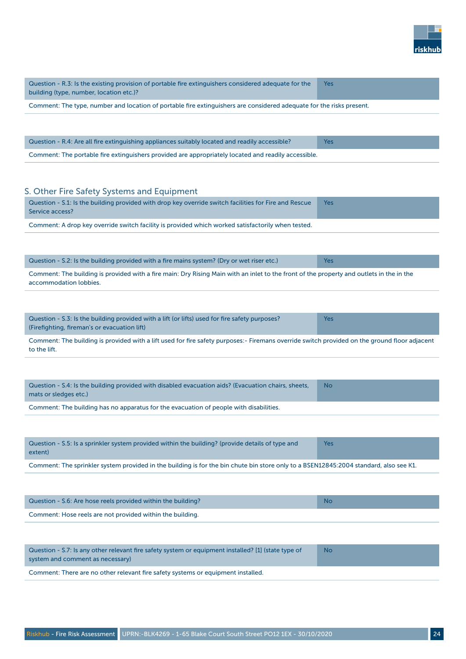

| Question - R.3: Is the existing provision of portable fire extinguishers considered adequate for the<br>building (type, number, location etc.)?                    | Yes        |
|--------------------------------------------------------------------------------------------------------------------------------------------------------------------|------------|
| Comment: The type, number and location of portable fire extinguishers are considered adequate for the risks present.                                               |            |
|                                                                                                                                                                    |            |
| Question - R.4: Are all fire extinguishing appliances suitably located and readily accessible?                                                                     | <b>Yes</b> |
| Comment: The portable fire extinguishers provided are appropriately located and readily accessible.                                                                |            |
|                                                                                                                                                                    |            |
| S. Other Fire Safety Systems and Equipment                                                                                                                         |            |
| Question - S.1: Is the building provided with drop key override switch facilities for Fire and Rescue<br>Service access?                                           | <b>Yes</b> |
| Comment: A drop key override switch facility is provided which worked satisfactorily when tested.                                                                  |            |
|                                                                                                                                                                    |            |
| Question - S.2: Is the building provided with a fire mains system? (Dry or wet riser etc.)                                                                         | <b>Yes</b> |
| Comment: The building is provided with a fire main: Dry Rising Main with an inlet to the front of the property and outlets in the in the<br>accommodation lobbies. |            |
|                                                                                                                                                                    |            |
| Question - S.3: Is the building provided with a lift (or lifts) used for fire safety purposes?<br>(Firefighting, fireman's or evacuation lift)                     | Yes        |
| Comment: The building is provided with a lift used for fire safety purposes:- Firemans override switch provided on the ground floor adjacent<br>to the lift.       |            |
|                                                                                                                                                                    |            |
| Question - S.4: Is the building provided with disabled evacuation aids? (Evacuation chairs, sheets,<br>mats or sledges etc.)                                       | No         |
| Comment: The building has no apparatus for the evacuation of people with disabilities.                                                                             |            |
|                                                                                                                                                                    |            |
| Question - S.5: Is a sprinkler system provided within the building? (provide details of type and<br>extent)                                                        | <b>Yes</b> |
| Comment: The sprinkler system provided in the building is for the bin chute bin store only to a BSEN12845:2004 standard, also see K1.                              |            |
|                                                                                                                                                                    |            |
| Question - S.6: Are hose reels provided within the building?                                                                                                       | <b>No</b>  |
| Comment: Hose reels are not provided within the building.                                                                                                          |            |
|                                                                                                                                                                    |            |
| Question - S.7: Is any other relevant fire safety system or equipment installed? [1] (state type of<br>system and comment as necessary)                            | No         |
| Comment: There are no other relevant fire safety systems or equipment installed.                                                                                   |            |
|                                                                                                                                                                    |            |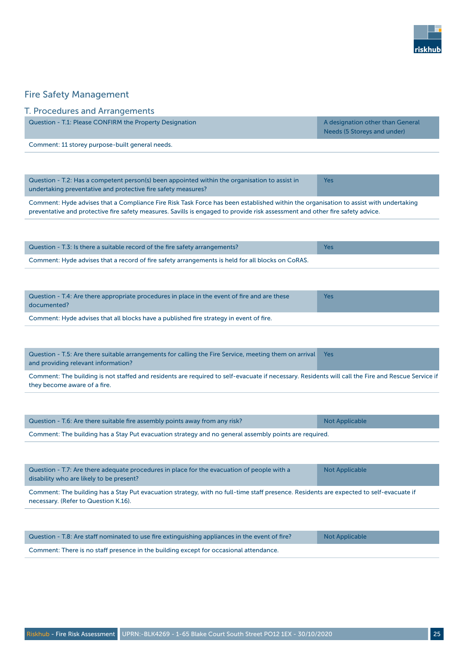

#### Fire Safety Management

#### T. Procedures and Arrangements

| Question - T.1: Please CONFIRM the Property Designation | A designation other than General |
|---------------------------------------------------------|----------------------------------|
|                                                         | Needs (5 Storeys and under)      |
|                                                         |                                  |

Comment: 11 storey purpose-built general needs.

| Question - T.2: Has a competent person(s) been appointed within the organisation to assist in | <b>Yes</b> |
|-----------------------------------------------------------------------------------------------|------------|
| undertaking preventative and protective fire safety measures?                                 |            |

Comment: Hyde advises that a Compliance Fire Risk Task Force has been established within the organisation to assist with undertaking preventative and protective fire safety measures. Savills is engaged to provide risk assessment and other fire safety advice.

| Acception of A. And theme components more relative to others to the critical of fine and continued | $V = -$ |
|----------------------------------------------------------------------------------------------------|---------|
|                                                                                                    |         |
| Comment: Hyde advises that a record of fire safety arrangements is held for all blocks on CoRAS.   |         |
| Question - T.3: Is there a suitable record of the fire safety arrangements?                        | Yes     |

| Question - T.4: Are there appropriate procedures in place in the event of fire and are these<br>documented? | <b>Yes</b> |
|-------------------------------------------------------------------------------------------------------------|------------|
| Comment: Hyde advises that all blocks have a published fire strategy in event of fire.                      |            |

Question - T.5: Are there suitable arrangements for calling the Fire Service, meeting them on arrival and providing relevant information? Yes

Comment: The building is not staffed and residents are required to self-evacuate if necessary. Residents will call the Fire and Rescue Service if they become aware of a fire.

| Question - T.6: Are there suitable fire assembly points away from any risk?                           | Not Applicable |
|-------------------------------------------------------------------------------------------------------|----------------|
| Comment: The building has a Stay Put evacuation strategy and no general assembly points are required. |                |

| Question - T.7: Are there adequate procedures in place for the evacuation of people with a<br>disability who are likely to be present?                                         | <b>Not Applicable</b> |
|--------------------------------------------------------------------------------------------------------------------------------------------------------------------------------|-----------------------|
| Comment: The building has a Stay Put evacuation strategy, with no full-time staff presence. Residents are expected to self-evacuate if<br>necessary. (Refer to Question K.16). |                       |
|                                                                                                                                                                                |                       |
| Question - T.8: Are staff nominated to use fire extinguishing appliances in the event of fire?                                                                                 | <b>Not Applicable</b> |

Comment: There is no staff presence in the building except for occasional attendance.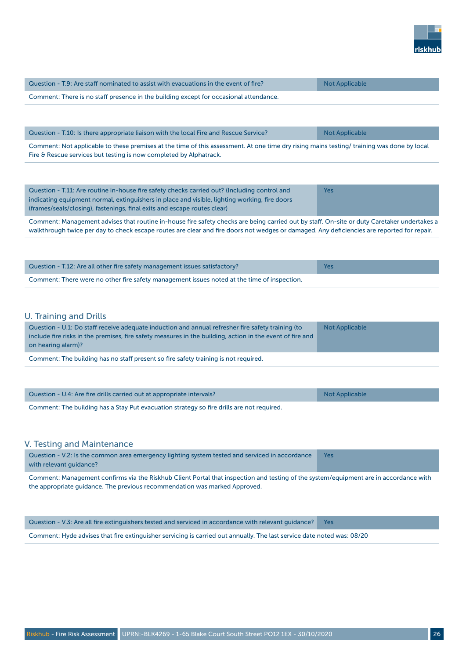

| Question - T.9: Are staff nominated to assist with evacuations in the event of fire?  | Not Applicable |
|---------------------------------------------------------------------------------------|----------------|
| Comment: There is no staff presence in the building except for occasional attendance. |                |

| Question - T.10: Is there appropriate liaison with the local Fire and Rescue Service?                                                                                                                                              | Not Applicable                                                                                                  |
|------------------------------------------------------------------------------------------------------------------------------------------------------------------------------------------------------------------------------------|-----------------------------------------------------------------------------------------------------------------|
| the contract of the contract of the contract of the contract of the contract of the contract of the contract of<br>the contract of the contract of the contract of the contract of the contract of the contract of the contract of | the contract of the contract of the contract of the contract of the contract of the contract of the contract of |

Comment: Not applicable to these premises at the time of this assessment. At one time dry rising mains testing/ training was done by local Fire & Rescue services but testing is now completed by Alphatrack.

| Question - T.11: Are routine in-house fire safety checks carried out? (Including control and  | Yes |
|-----------------------------------------------------------------------------------------------|-----|
| indicating equipment normal, extinguishers in place and visible, lighting working, fire doors |     |
| (frames/seals/closing), fastenings, final exits and escape routes clear)                      |     |

Comment: Management advises that routine in-house fire safety checks are being carried out by staff. On-site or duty Caretaker undertakes a walkthrough twice per day to check escape routes are clear and fire doors not wedges or damaged. Any deficiencies are reported for repair.

| Question - T.12: Are all other fire safety management issues satisfactory?                  | <b>Yes</b> |
|---------------------------------------------------------------------------------------------|------------|
| Comment: There were no other fire safety management issues noted at the time of inspection. |            |

#### U. Training and Drills

| Question - U.1: Do staff receive adequate induction and annual refresher fire safety training (to<br>include fire risks in the premises, fire safety measures in the building, action in the event of fire and<br>on hearing alarm)? | <b>Not Applicable</b> |
|--------------------------------------------------------------------------------------------------------------------------------------------------------------------------------------------------------------------------------------|-----------------------|
| Comment: The building has no staff present so fire safety training is not required.                                                                                                                                                  |                       |

| Question - U.4: Are fire drills carried out at appropriate intervals?                     | Not Applicable |
|-------------------------------------------------------------------------------------------|----------------|
| Comment: The building has a Stay Put evacuation strategy so fire drills are not required. |                |

#### V. Testing and Maintenance

| Question - V.2: Is the common area emergency lighting system tested and serviced in accordance<br>with relevant quidance?                                                                                           | Yes |
|---------------------------------------------------------------------------------------------------------------------------------------------------------------------------------------------------------------------|-----|
| Comment: Management confirms via the Riskhub Client Portal that inspection and testing of the system/equipment are in accordance with<br>the appropriate quidance. The previous recommendation was marked Approved. |     |
|                                                                                                                                                                                                                     |     |

Question - V.3: Are all fire extinguishers tested and serviced in accordance with relevant guidance? Yes

Comment: Hyde advises that fire extinguisher servicing is carried out annually. The last service date noted was: 08/20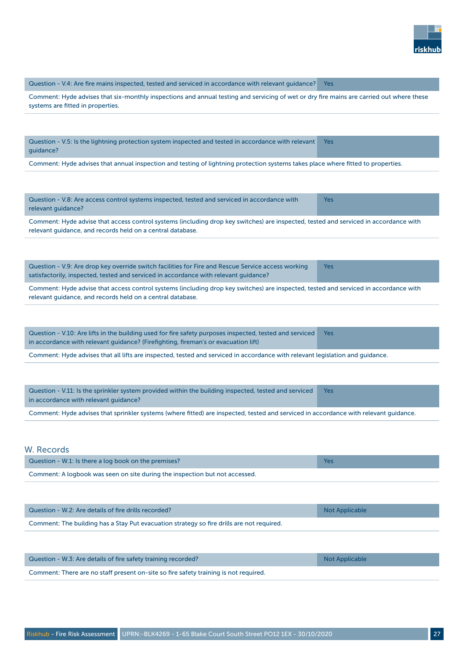

Question - V.4: Are fire mains inspected, tested and serviced in accordance with relevant guidance? Yes

Comment: Hyde advises that six-monthly inspections and annual testing and servicing of wet or dry fire mains are carried out where these systems are fitted in properties.

Question - V.5: Is the lightning protection system inspected and tested in accordance with relevant guidance? Yes

Comment: Hyde advises that annual inspection and testing of lightning protection systems takes place where fitted to properties.

| Question - V.8: Are access control systems inspected, tested and serviced in accordance with<br>relevant guidance? | Yes |
|--------------------------------------------------------------------------------------------------------------------|-----|
|                                                                                                                    |     |

Comment: Hyde advise that access control systems (including drop key switches) are inspected, tested and serviced in accordance with relevant guidance, and records held on a central database.

Question - V.9: Are drop key override switch facilities for Fire and Rescue Service access working satisfactorily, inspected, tested and serviced in accordance with relevant guidance? Yes

Comment: Hyde advise that access control systems (including drop key switches) are inspected, tested and serviced in accordance with relevant guidance, and records held on a central database.

Question - V.10: Are lifts in the building used for fire safety purposes inspected, tested and serviced in accordance with relevant guidance? (Firefighting, fireman's or evacuation lift) Yes

Comment: Hyde advises that all lifts are inspected, tested and serviced in accordance with relevant legislation and guidance.

Question - V.11: Is the sprinkler system provided within the building inspected, tested and serviced in accordance with relevant guidance? Yes Comment: Hyde advises that sprinkler systems (where fitted) are inspected, tested and serviced in accordance with relevant guidance.

W. Records

| Question - W.1: Is there a log book on the premises?                       |  |
|----------------------------------------------------------------------------|--|
| Comment: A logbook was seen on site during the inspection but not accessed |  |

Comment: A logbook was seen on site during the inspection but not accessed.

| Question - W.2: Are details of fire drills recorded?                                      | Not Applicable |
|-------------------------------------------------------------------------------------------|----------------|
| Comment: The building has a Stay Put evacuation strategy so fire drills are not required. |                |

| Question - W.3: Are details of fire safety training recorded?                        | Not Applicable |
|--------------------------------------------------------------------------------------|----------------|
| Comment: There are no staff present on-site so fire safety training is not required. |                |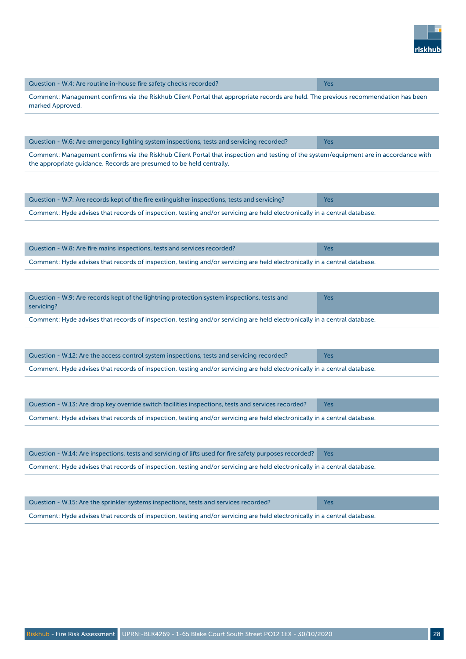

| Question - W.4: Are routine in-house fire safety checks recorded?                                                                                                                                             | Yes        |
|---------------------------------------------------------------------------------------------------------------------------------------------------------------------------------------------------------------|------------|
| Comment: Management confirms via the Riskhub Client Portal that appropriate records are held. The previous recommendation has been<br>marked Approved.                                                        |            |
|                                                                                                                                                                                                               |            |
| Question - W.6: Are emergency lighting system inspections, tests and servicing recorded?                                                                                                                      | Yes        |
| Comment: Management confirms via the Riskhub Client Portal that inspection and testing of the system/equipment are in accordance with<br>the appropriate guidance. Records are presumed to be held centrally. |            |
|                                                                                                                                                                                                               |            |
| Question - W.7: Are records kept of the fire extinguisher inspections, tests and servicing?                                                                                                                   | <b>Yes</b> |
| Comment: Hyde advises that records of inspection, testing and/or servicing are held electronically in a central database.                                                                                     |            |
|                                                                                                                                                                                                               |            |
|                                                                                                                                                                                                               |            |
| Question - W.8: Are fire mains inspections, tests and services recorded?                                                                                                                                      | <b>Yes</b> |
| Comment: Hyde advises that records of inspection, testing and/or servicing are held electronically in a central database.                                                                                     |            |
|                                                                                                                                                                                                               |            |
| Question - W.9: Are records kept of the lightning protection system inspections, tests and<br>servicing?                                                                                                      | <b>Yes</b> |
| Comment: Hyde advises that records of inspection, testing and/or servicing are held electronically in a central database.                                                                                     |            |
|                                                                                                                                                                                                               |            |
| Question - W.12: Are the access control system inspections, tests and servicing recorded?                                                                                                                     | <b>Yes</b> |
| Comment: Hyde advises that records of inspection, testing and/or servicing are held electronically in a central database.                                                                                     |            |
|                                                                                                                                                                                                               |            |
| Question - W.13: Are drop key override switch facilities inspections, tests and services recorded?                                                                                                            | Yes        |
| Comment: Hyde advises that records of inspection, testing and/or servicing are held electronically in a central database.                                                                                     |            |
|                                                                                                                                                                                                               |            |
| Question - W.14: Are inspections, tests and servicing of lifts used for fire safety purposes recorded?                                                                                                        | <b>Yes</b> |
| Comment: Hyde advises that records of inspection, testing and/or servicing are held electronically in a central database.                                                                                     |            |
|                                                                                                                                                                                                               |            |
| Question - W.15: Are the sprinkler systems inspections, tests and services recorded?                                                                                                                          | Yes        |
| Comment: Hyde advises that records of inspection, testing and/or servicing are held electronically in a central database.                                                                                     |            |
|                                                                                                                                                                                                               |            |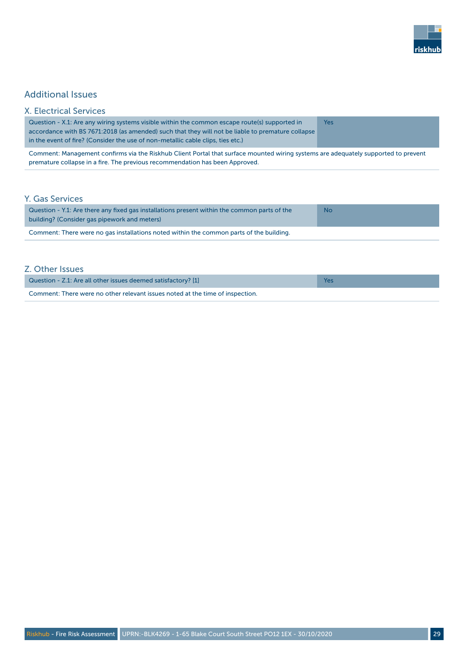

### Additional Issues

| <b>X. Electrical Services</b>                                                                                                                                                                                                                                                         |            |
|---------------------------------------------------------------------------------------------------------------------------------------------------------------------------------------------------------------------------------------------------------------------------------------|------------|
| Question - X.1: Are any wiring systems visible within the common escape route(s) supported in<br>accordance with BS 7671:2018 (as amended) such that they will not be liable to premature collapse<br>in the event of fire? (Consider the use of non-metallic cable clips, ties etc.) | <b>Yes</b> |
| Comment: Management confirms via the Riskhub Client Portal that surface mounted wiring systems are adequately supported to prevent<br>premature collapse in a fire. The previous recommendation has been Approved.                                                                    |            |
| <b>Y. Gas Services</b>                                                                                                                                                                                                                                                                |            |
| Question - Y.1: Are there any fixed gas installations present within the common parts of the<br>building? (Consider gas pipework and meters)                                                                                                                                          | <b>No</b>  |
| Comment: There were no gas installations noted within the common parts of the building.                                                                                                                                                                                               |            |

#### Z. Other Issues

| Question - Z.1: Are all other issues deemed satisfactory? [1]                 |  |
|-------------------------------------------------------------------------------|--|
| Comment: There were no other relevant issues noted at the time of inspection. |  |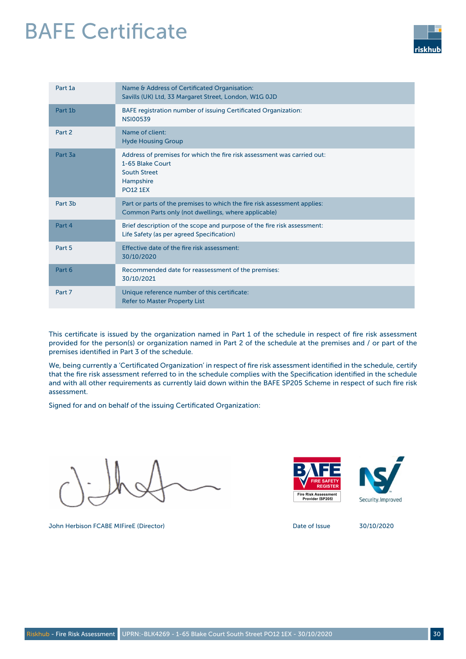## BAFE Certificate



| Part 1a             | Name & Address of Certificated Organisation:<br>Savills (UK) Ltd, 33 Margaret Street, London, W1G 0JD                                              |
|---------------------|----------------------------------------------------------------------------------------------------------------------------------------------------|
| Part 1b             | BAFE registration number of issuing Certificated Organization:<br><b>NSI00539</b>                                                                  |
| Part 2              | Name of client:<br><b>Hyde Housing Group</b>                                                                                                       |
| Part 3a             | Address of premises for which the fire risk assessment was carried out:<br>1-65 Blake Court<br><b>South Street</b><br>Hampshire<br><b>PO12 1EX</b> |
| Part 3 <sub>h</sub> | Part or parts of the premises to which the fire risk assessment applies:<br>Common Parts only (not dwellings, where applicable)                    |
| Part 4              | Brief description of the scope and purpose of the fire risk assessment:<br>Life Safety (as per agreed Specification)                               |
| Part 5              | Effective date of the fire risk assessment:<br>30/10/2020                                                                                          |
| Part 6              | Recommended date for reassessment of the premises:<br>30/10/2021                                                                                   |
| Part 7              | Unique reference number of this certificate:<br><b>Refer to Master Property List</b>                                                               |

This certificate is issued by the organization named in Part 1 of the schedule in respect of fire risk assessment provided for the person(s) or organization named in Part 2 of the schedule at the premises and / or part of the premises identified in Part 3 of the schedule.

We, being currently a 'Certificated Organization' in respect of fire risk assessment identified in the schedule, certify that the fire risk assessment referred to in the schedule complies with the Specification identified in the schedule and with all other requirements as currently laid down within the BAFE SP205 Scheme in respect of such fire risk assessment.

Signed for and on behalf of the issuing Certificated Organization:

John Herbison FCABE MIFireE (Director) Date of Issue 30/10/2020